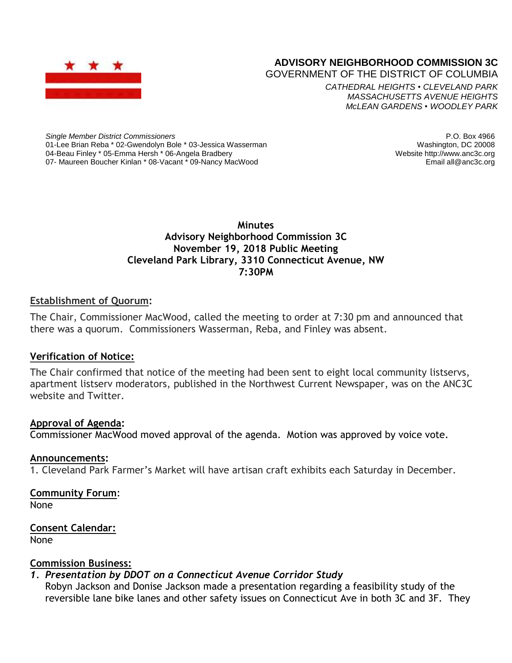

# **ADVISORY NEIGHBORHOOD COMMISSION 3C**

GOVERNMENT OF THE DISTRICT OF COLUMBIA

*CATHEDRAL HEIGHTS* • *CLEVELAND PARK MASSACHUSETTS AVENUE HEIGHTS McLEAN GARDENS* • *WOODLEY PARK*

*Single Member District Commissioners* 01-Lee Brian Reba \* 02-Gwendolyn Bole \* 03-Jessica Wasserman 04-Beau Finley \* 05-Emma Hersh \* 06-Angela Bradbery 07- Maureen Boucher Kinlan \* 08-Vacant \* 09-Nancy MacWood

P.O. Box 4966 Washington, DC 20008 Website http://www.anc3c.org Email all@anc3c.org

### **Minutes Advisory Neighborhood Commission 3C November 19, 2018 Public Meeting Cleveland Park Library, 3310 Connecticut Avenue, NW 7:30PM**

### **Establishment of Quorum:**

The Chair, Commissioner MacWood, called the meeting to order at 7:30 pm and announced that there was a quorum. Commissioners Wasserman, Reba, and Finley was absent.

### **Verification of Notice:**

The Chair confirmed that notice of the meeting had been sent to eight local community listservs, apartment listserv moderators, published in the Northwest Current Newspaper, was on the ANC3C website and Twitter.

### **Approval of Agenda:**

Commissioner MacWood moved approval of the agenda. Motion was approved by voice vote.

### **Announcements:**

1. Cleveland Park Farmer's Market will have artisan craft exhibits each Saturday in December.

# **Community Forum**:

None

**Consent Calendar:** None

### **Commission Business:**

### *1. Presentation by DDOT on a Connecticut Avenue Corridor Study*

Robyn Jackson and Donise Jackson made a presentation regarding a feasibility study of the reversible lane bike lanes and other safety issues on Connecticut Ave in both 3C and 3F. They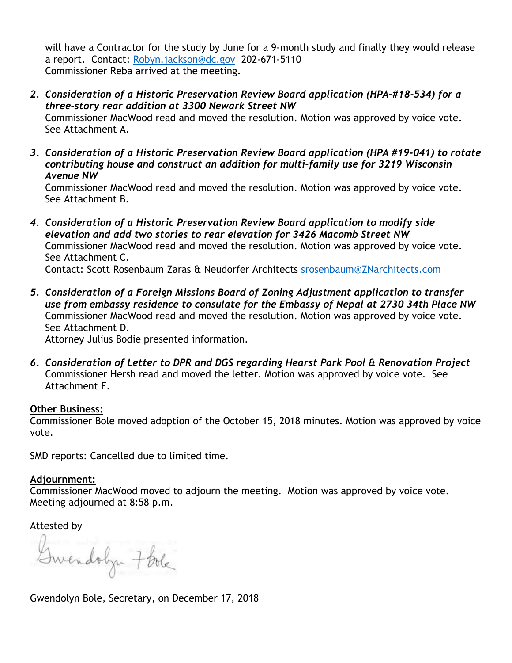will have a Contractor for the study by June for a 9-month study and finally they would release a report. Contact: [Robyn.jackson@dc.gov](mailto:Robyn.jackson@dc.gov) 202-671-5110 Commissioner Reba arrived at the meeting.

- *2. Consideration of a Historic Preservation Review Board application (HPA-#18-534) for a three-story rear addition at 3300 Newark Street NW* Commissioner MacWood read and moved the resolution. Motion was approved by voice vote. See Attachment A.
- *3. Consideration of a Historic Preservation Review Board application (HPA #19-041) to rotate contributing house and construct an addition for multi-family use for 3219 Wisconsin Avenue NW*

Commissioner MacWood read and moved the resolution. Motion was approved by voice vote. See Attachment B.

- *4. Consideration of a Historic Preservation Review Board application to modify side elevation and add two stories to rear elevation for 3426 Macomb Street NW* Commissioner MacWood read and moved the resolution. Motion was approved by voice vote. See Attachment C. Contact: Scott Rosenbaum Zaras & Neudorfer Architects [srosenbaum@ZNarchitects.com](mailto:srosenbaum@ZNarchitects.com)
- *5. Consideration of a Foreign Missions Board of Zoning Adjustment application to transfer use from embassy residence to consulate for the Embassy of Nepal at 2730 34th Place NW* Commissioner MacWood read and moved the resolution. Motion was approved by voice vote. See Attachment D.

Attorney Julius Bodie presented information.

*6. Consideration of Letter to DPR and DGS regarding Hearst Park Pool & Renovation Project* Commissioner Hersh read and moved the letter. Motion was approved by voice vote. See Attachment E.

### **Other Business:**

Commissioner Bole moved adoption of the October 15, 2018 minutes. Motion was approved by voice vote.

SMD reports: Cancelled due to limited time.

### **Adjournment:**

Commissioner MacWood moved to adjourn the meeting. Motion was approved by voice vote. Meeting adjourned at 8:58 p.m.

Attested by

Swendobyn 7 bola

Gwendolyn Bole, Secretary, on December 17, 2018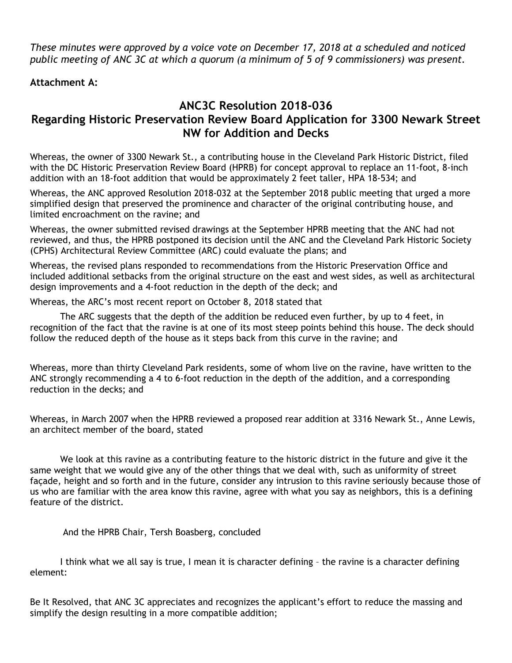*These minutes were approved by a voice vote on December 17, 2018 at a scheduled and noticed public meeting of ANC 3C at which a quorum (a minimum of 5 of 9 commissioners) was present.*

### **Attachment A:**

# **ANC3C Resolution 2018-036 Regarding Historic Preservation Review Board Application for 3300 Newark Street NW for Addition and Decks**

Whereas, the owner of 3300 Newark St., a contributing house in the Cleveland Park Historic District, filed with the DC Historic Preservation Review Board (HPRB) for concept approval to replace an 11-foot, 8-inch addition with an 18-foot addition that would be approximately 2 feet taller, HPA 18-534; and

Whereas, the ANC approved Resolution 2018-032 at the September 2018 public meeting that urged a more simplified design that preserved the prominence and character of the original contributing house, and limited encroachment on the ravine; and

Whereas, the owner submitted revised drawings at the September HPRB meeting that the ANC had not reviewed, and thus, the HPRB postponed its decision until the ANC and the Cleveland Park Historic Society (CPHS) Architectural Review Committee (ARC) could evaluate the plans; and

Whereas, the revised plans responded to recommendations from the Historic Preservation Office and included additional setbacks from the original structure on the east and west sides, as well as architectural design improvements and a 4-foot reduction in the depth of the deck; and

Whereas, the ARC's most recent report on October 8, 2018 stated that

The ARC suggests that the depth of the addition be reduced even further, by up to 4 feet, in recognition of the fact that the ravine is at one of its most steep points behind this house. The deck should follow the reduced depth of the house as it steps back from this curve in the ravine; and

Whereas, more than thirty Cleveland Park residents, some of whom live on the ravine, have written to the ANC strongly recommending a 4 to 6-foot reduction in the depth of the addition, and a corresponding reduction in the decks; and

Whereas, in March 2007 when the HPRB reviewed a proposed rear addition at 3316 Newark St., Anne Lewis, an architect member of the board, stated

We look at this ravine as a contributing feature to the historic district in the future and give it the same weight that we would give any of the other things that we deal with, such as uniformity of street façade, height and so forth and in the future, consider any intrusion to this ravine seriously because those of us who are familiar with the area know this ravine, agree with what you say as neighbors, this is a defining feature of the district.

And the HPRB Chair, Tersh Boasberg, concluded

I think what we all say is true, I mean it is character defining – the ravine is a character defining element:

Be It Resolved, that ANC 3C appreciates and recognizes the applicant's effort to reduce the massing and simplify the design resulting in a more compatible addition;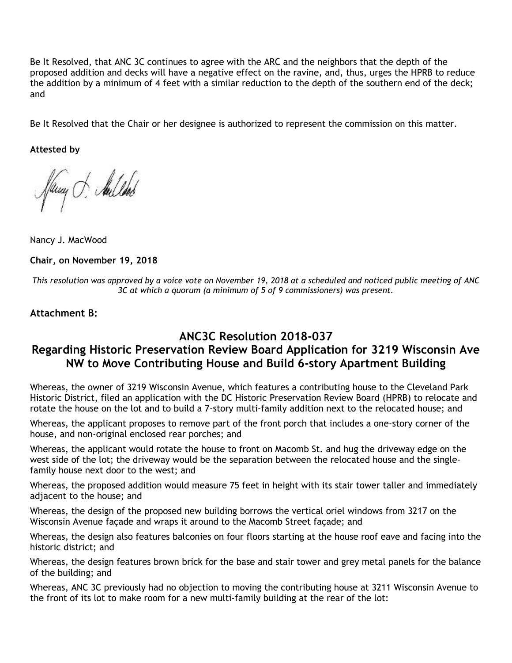Be It Resolved, that ANC 3C continues to agree with the ARC and the neighbors that the depth of the proposed addition and decks will have a negative effect on the ravine, and, thus, urges the HPRB to reduce the addition by a minimum of 4 feet with a similar reduction to the depth of the southern end of the deck; and

Be It Resolved that the Chair or her designee is authorized to represent the commission on this matter.

**Attested by**

fany . Sulled

Nancy J. MacWood

**Chair, on November 19, 2018**

This resolution was approved by a voice vote on November 19, 2018 at a scheduled and noticed public meeting of ANC *3C at which a quorum (a minimum of 5 of 9 commissioners) was present.*

#### **Attachment B:**

## **ANC3C Resolution 2018-037**

# **Regarding Historic Preservation Review Board Application for 3219 Wisconsin Ave NW to Move Contributing House and Build 6-story Apartment Building**

Whereas, the owner of 3219 Wisconsin Avenue, which features a contributing house to the Cleveland Park Historic District, filed an application with the DC Historic Preservation Review Board (HPRB) to relocate and rotate the house on the lot and to build a 7-story multi-family addition next to the relocated house; and

Whereas, the applicant proposes to remove part of the front porch that includes a one-story corner of the house, and non-original enclosed rear porches; and

Whereas, the applicant would rotate the house to front on Macomb St. and hug the driveway edge on the west side of the lot; the driveway would be the separation between the relocated house and the singlefamily house next door to the west; and

Whereas, the proposed addition would measure 75 feet in height with its stair tower taller and immediately adjacent to the house; and

Whereas, the design of the proposed new building borrows the vertical oriel windows from 3217 on the Wisconsin Avenue façade and wraps it around to the Macomb Street façade; and

Whereas, the design also features balconies on four floors starting at the house roof eave and facing into the historic district; and

Whereas, the design features brown brick for the base and stair tower and grey metal panels for the balance of the building; and

Whereas, ANC 3C previously had no objection to moving the contributing house at 3211 Wisconsin Avenue to the front of its lot to make room for a new multi-family building at the rear of the lot: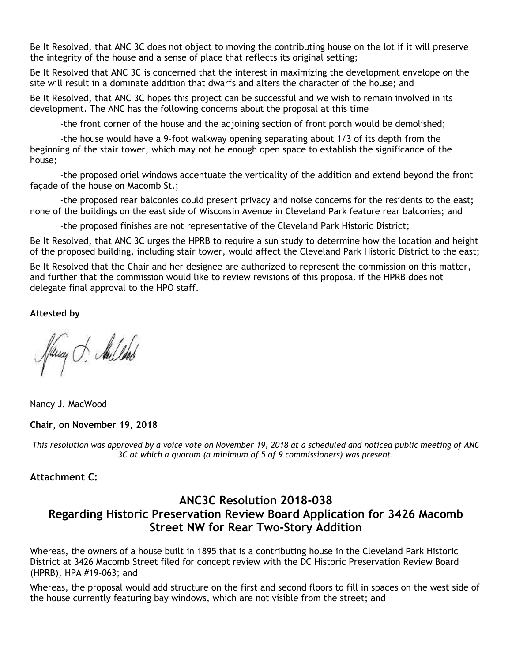Be It Resolved, that ANC 3C does not object to moving the contributing house on the lot if it will preserve the integrity of the house and a sense of place that reflects its original setting;

Be It Resolved that ANC 3C is concerned that the interest in maximizing the development envelope on the site will result in a dominate addition that dwarfs and alters the character of the house; and

Be It Resolved, that ANC 3C hopes this project can be successful and we wish to remain involved in its development. The ANC has the following concerns about the proposal at this time

-the front corner of the house and the adjoining section of front porch would be demolished;

-the house would have a 9-foot walkway opening separating about 1/3 of its depth from the beginning of the stair tower, which may not be enough open space to establish the significance of the house;

-the proposed oriel windows accentuate the verticality of the addition and extend beyond the front façade of the house on Macomb St.;

-the proposed rear balconies could present privacy and noise concerns for the residents to the east; none of the buildings on the east side of Wisconsin Avenue in Cleveland Park feature rear balconies; and

-the proposed finishes are not representative of the Cleveland Park Historic District;

Be It Resolved, that ANC 3C urges the HPRB to require a sun study to determine how the location and height of the proposed building, including stair tower, would affect the Cleveland Park Historic District to the east;

Be It Resolved that the Chair and her designee are authorized to represent the commission on this matter, and further that the commission would like to review revisions of this proposal if the HPRB does not delegate final approval to the HPO staff.

**Attested by**

Pany J. Aulland

Nancy J. MacWood

#### **Chair, on November 19, 2018**

This resolution was approved by a voice vote on November 19, 2018 at a scheduled and noticed public meeting of ANC *3C at which a quorum (a minimum of 5 of 9 commissioners) was present.*

### **Attachment C:**

# **ANC3C Resolution 2018-038 Regarding Historic Preservation Review Board Application for 3426 Macomb Street NW for Rear Two-Story Addition**

Whereas, the owners of a house built in 1895 that is a contributing house in the Cleveland Park Historic District at 3426 Macomb Street filed for concept review with the DC Historic Preservation Review Board (HPRB), HPA #19-063; and

Whereas, the proposal would add structure on the first and second floors to fill in spaces on the west side of the house currently featuring bay windows, which are not visible from the street; and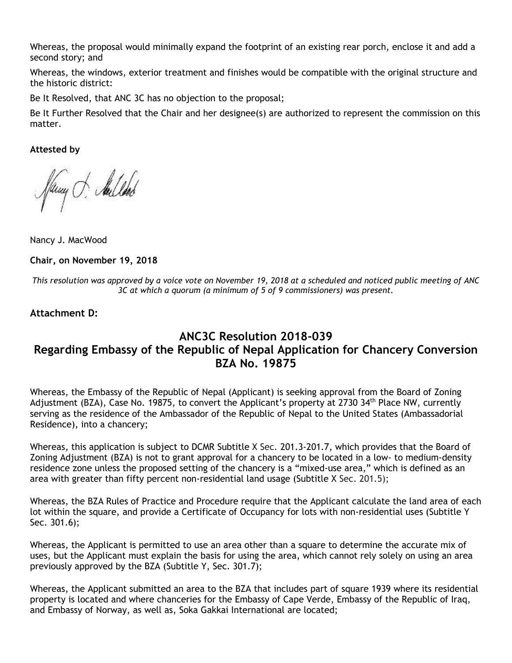Whereas, the proposal would minimally expand the footprint of an existing rear porch, enclose it and add a second story; and

Whereas, the windows, exterior treatment and finishes would be compatible with the original structure and the historic district:

Be It Resolved, that ANC 3C has no objection to the proposal;

Be It Further Resolved that the Chair and her designee(s) are authorized to represent the commission on this matter.

**Attested by**

fany . Sulled

Nancy J. MacWood

**Chair, on November 19, 2018**

This resolution was approved by a voice vote on November 19, 2018 at a scheduled and noticed public meeting of ANC *3C at which a quorum (a minimum of 5 of 9 commissioners) was present.*

### **Attachment D:**

# **ANC3C Resolution 2018-039 Regarding Embassy of the Republic of Nepal Application for Chancery Conversion BZA No. 19875**

Whereas, the Embassy of the Republic of Nepal (Applicant) is seeking approval from the Board of Zoning Adjustment (BZA), Case No. 19875, to convert the Applicant's property at 2730 34<sup>th</sup> Place NW, currently serving as the residence of the Ambassador of the Republic of Nepal to the United States (Ambassadorial Residence), into a chancery;

Whereas, this application is subject to DCMR Subtitle X Sec. 201.3-201.7, which provides that the Board of Zoning Adjustment (BZA) is not to grant approval for a chancery to be located in a low- to medium-density residence zone unless the proposed setting of the chancery is a "mixed-use area," which is defined as an area with greater than fifty percent non-residential land usage (Subtitle X Sec. 201.5);

Whereas, the BZA Rules of Practice and Procedure require that the Applicant calculate the land area of each lot within the square, and provide a Certificate of Occupancy for lots with non-residential uses (Subtitle Y Sec. 301.6);

Whereas, the Applicant is permitted to use an area other than a square to determine the accurate mix of uses, but the Applicant must explain the basis for using the area, which cannot rely solely on using an area previously approved by the BZA (Subtitle Y, Sec. 301.7);

Whereas, the Applicant submitted an area to the BZA that includes part of square 1939 where its residential property is located and where chanceries for the Embassy of Cape Verde, Embassy of the Republic of Iraq, and Embassy of Norway, as well as, Soka Gakkai International are located;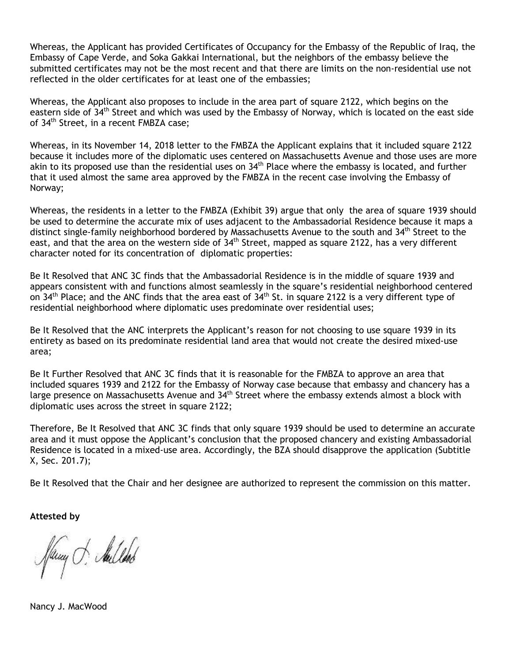Whereas, the Applicant has provided Certificates of Occupancy for the Embassy of the Republic of Iraq, the Embassy of Cape Verde, and Soka Gakkai International, but the neighbors of the embassy believe the submitted certificates may not be the most recent and that there are limits on the non-residential use not reflected in the older certificates for at least one of the embassies;

Whereas, the Applicant also proposes to include in the area part of square 2122, which begins on the eastern side of 34<sup>th</sup> Street and which was used by the Embassy of Norway, which is located on the east side of 34th Street, in a recent FMBZA case;

Whereas, in its November 14, 2018 letter to the FMBZA the Applicant explains that it included square 2122 because it includes more of the diplomatic uses centered on Massachusetts Avenue and those uses are more akin to its proposed use than the residential uses on  $34<sup>th</sup>$  Place where the embassy is located, and further that it used almost the same area approved by the FMBZA in the recent case involving the Embassy of Norway;

Whereas, the residents in a letter to the FMBZA (Exhibit 39) argue that only the area of square 1939 should be used to determine the accurate mix of uses adjacent to the Ambassadorial Residence because it maps a distinct single-family neighborhood bordered by Massachusetts Avenue to the south and 34<sup>th</sup> Street to the east, and that the area on the western side of  $34<sup>th</sup>$  Street, mapped as square 2122, has a very different character noted for its concentration of diplomatic properties:

Be It Resolved that ANC 3C finds that the Ambassadorial Residence is in the middle of square 1939 and appears consistent with and functions almost seamlessly in the square's residential neighborhood centered on 34<sup>th</sup> Place; and the ANC finds that the area east of 34<sup>th</sup> St. in square 2122 is a very different type of residential neighborhood where diplomatic uses predominate over residential uses;

Be It Resolved that the ANC interprets the Applicant's reason for not choosing to use square 1939 in its entirety as based on its predominate residential land area that would not create the desired mixed-use area;

Be It Further Resolved that ANC 3C finds that it is reasonable for the FMBZA to approve an area that included squares 1939 and 2122 for the Embassy of Norway case because that embassy and chancery has a large presence on Massachusetts Avenue and 34<sup>th</sup> Street where the embassy extends almost a block with diplomatic uses across the street in square 2122;

Therefore, Be It Resolved that ANC 3C finds that only square 1939 should be used to determine an accurate area and it must oppose the Applicant's conclusion that the proposed chancery and existing Ambassadorial Residence is located in a mixed-use area. Accordingly, the BZA should disapprove the application (Subtitle X, Sec. 201.7);

Be It Resolved that the Chair and her designee are authorized to represent the commission on this matter.

**Attested by**

Jamy . Aulled

Nancy J. MacWood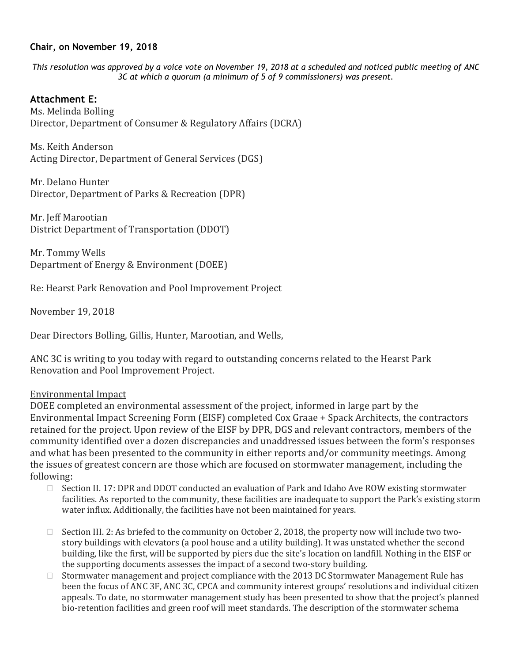#### **Chair, on November 19, 2018**

This resolution was approved by a voice vote on November 19, 2018 at a scheduled and noticed public meeting of ANC *3C at which a quorum (a minimum of 5 of 9 commissioners) was present.*

#### **Attachment E:**

Ms. Melinda Bolling Director, Department of Consumer & Regulatory Affairs (DCRA)

Ms. Keith Anderson Acting Director, Department of General Services (DGS)

Mr. Delano Hunter Director, Department of Parks & Recreation (DPR)

Mr. Jeff Marootian District Department of Transportation (DDOT)

Mr. Tommy Wells Department of Energy & Environment (DOEE)

Re: Hearst Park Renovation and Pool Improvement Project

November 19, 2018

Dear Directors Bolling, Gillis, Hunter, Marootian, and Wells,

ANC 3C is writing to you today with regard to outstanding concerns related to the Hearst Park Renovation and Pool Improvement Project.

#### Environmental Impact

DOEE completed an environmental assessment of the project, informed in large part by the Environmental Impact Screening Form (EISF) completed Cox Graae + Spack Architects, the contractors retained for the project. Upon review of the EISF by DPR, DGS and relevant contractors, members of the community identified over a dozen discrepancies and unaddressed issues between the form's responses and what has been presented to the community in either reports and/or community meetings. Among the issues of greatest concern are those which are focused on stormwater management, including the following:

- $\Box$  Section II. 17: DPR and DDOT conducted an evaluation of Park and Idaho Ave ROW existing stormwater facilities. As reported to the community, these facilities are inadequate to support the Park's existing storm water influx. Additionally, the facilities have not been maintained for years.
- $\Box$  Section III. 2: As briefed to the community on October 2, 2018, the property now will include two twostory buildings with elevators (a pool house and a utility building). It was unstated whether the second building, like the first, will be supported by piers due the site's location on landfill. Nothing in the EISF or the supporting documents assesses the impact of a second two-story building.
- $\Box$  Stormwater management and project compliance with the 2013 DC Stormwater Management Rule has been the focus of ANC 3F, ANC 3C, CPCA and community interest groups' resolutions and individual citizen appeals. To date, no stormwater management study has been presented to show that the project's planned bio-retention facilities and green roof will meet standards. The description of the stormwater schema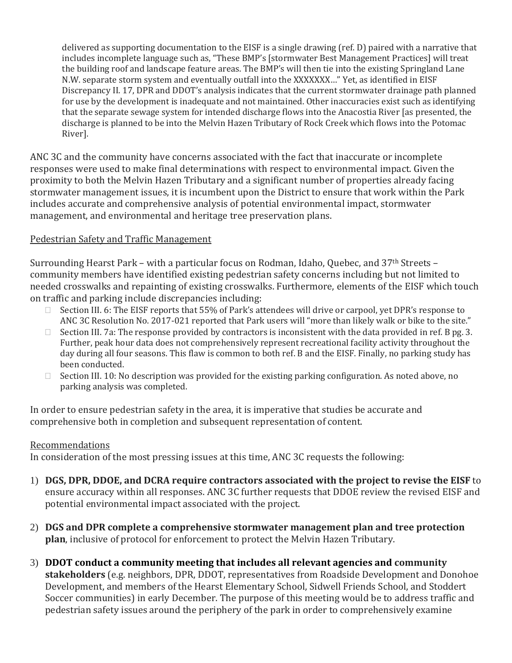delivered as supporting documentation to the EISF is a single drawing (ref. D) paired with a narrative that includes incomplete language such as, "These BMP's [stormwater Best Management Practices] will treat the building roof and landscape feature areas. The BMP's will then tie into the existing Springland Lane N.W. separate storm system and eventually outfall into the XXXXXXX…" Yet, as identified in EISF Discrepancy II. 17, DPR and DDOT's analysis indicates that the current stormwater drainage path planned for use by the development is inadequate and not maintained. Other inaccuracies exist such as identifying that the separate sewage system for intended discharge flows into the Anacostia River [as presented, the discharge is planned to be into the Melvin Hazen Tributary of Rock Creek which flows into the Potomac River].

ANC 3C and the community have concerns associated with the fact that inaccurate or incomplete responses were used to make final determinations with respect to environmental impact. Given the proximity to both the Melvin Hazen Tributary and a significant number of properties already facing stormwater management issues, it is incumbent upon the District to ensure that work within the Park includes accurate and comprehensive analysis of potential environmental impact, stormwater management, and environmental and heritage tree preservation plans.

### Pedestrian Safety and Traffic Management

Surrounding Hearst Park – with a particular focus on Rodman, Idaho, Quebec, and 37th Streets – community members have identified existing pedestrian safety concerns including but not limited to needed crosswalks and repainting of existing crosswalks. Furthermore, elements of the EISF which touch on traffic and parking include discrepancies including:

- □ Section III. 6: The EISF reports that 55% of Park's attendees will drive or carpool, yet DPR's response to ANC 3C Resolution No. 2017-021 reported that Park users will "more than likely walk or bike to the site."
- $\Box$  Section III. 7a: The response provided by contractors is inconsistent with the data provided in ref. B pg. 3. Further, peak hour data does not comprehensively represent recreational facility activity throughout the day during all four seasons. This flaw is common to both ref. B and the EISF. Finally, no parking study has been conducted.
- $\Box$  Section III. 10: No description was provided for the existing parking configuration. As noted above, no parking analysis was completed.

In order to ensure pedestrian safety in the area, it is imperative that studies be accurate and comprehensive both in completion and subsequent representation of content.

### Recommendations

In consideration of the most pressing issues at this time, ANC 3C requests the following:

- 1) **DGS, DPR, DDOE, and DCRA require contractors associated with the project to revise the EISF** to ensure accuracy within all responses. ANC 3C further requests that DDOE review the revised EISF and potential environmental impact associated with the project.
- 2) **DGS and DPR complete a comprehensive stormwater management plan and tree protection plan**, inclusive of protocol for enforcement to protect the Melvin Hazen Tributary.
- 3) **DDOT conduct a community meeting that includes all relevant agencies and community stakeholders** (e.g. neighbors, DPR, DDOT, representatives from Roadside Development and Donohoe Development, and members of the Hearst Elementary School, Sidwell Friends School, and Stoddert Soccer communities) in early December. The purpose of this meeting would be to address traffic and pedestrian safety issues around the periphery of the park in order to comprehensively examine